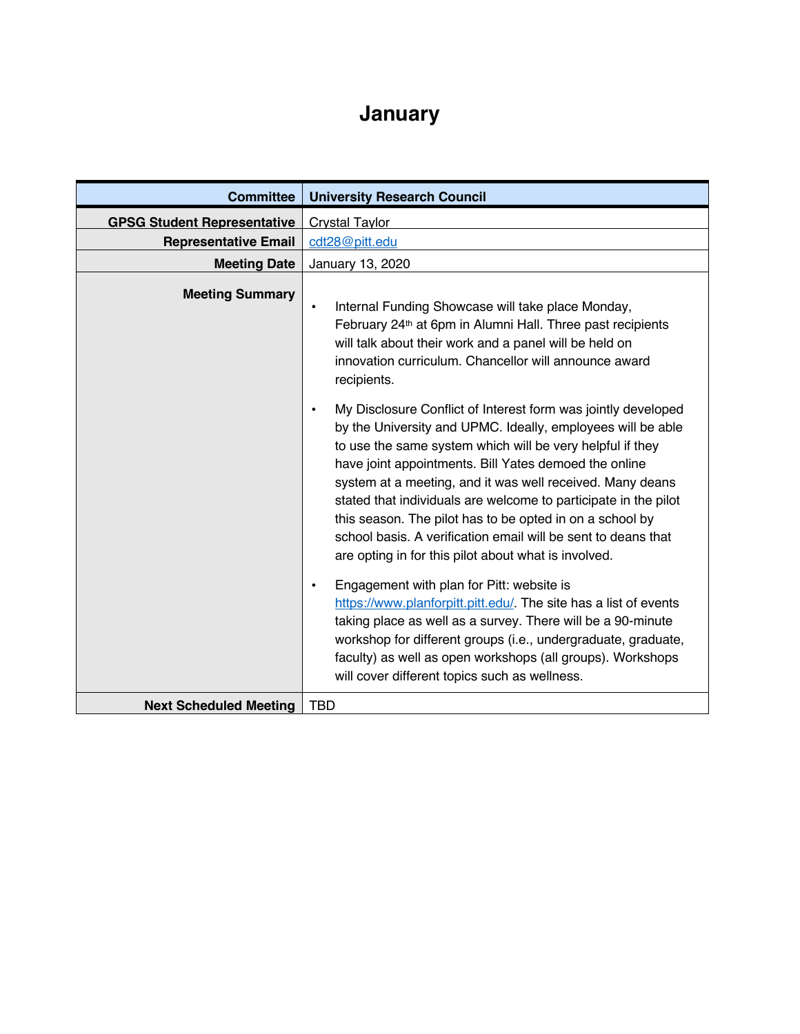## **January**

| <b>Committee</b>                   | <b>University Research Council</b>                                                                                                                                                                                                                                                                                                                                                                                                                                                                                                                                                   |
|------------------------------------|--------------------------------------------------------------------------------------------------------------------------------------------------------------------------------------------------------------------------------------------------------------------------------------------------------------------------------------------------------------------------------------------------------------------------------------------------------------------------------------------------------------------------------------------------------------------------------------|
| <b>GPSG Student Representative</b> | Crystal Taylor                                                                                                                                                                                                                                                                                                                                                                                                                                                                                                                                                                       |
| <b>Representative Email</b>        | cdt28@pitt.edu                                                                                                                                                                                                                                                                                                                                                                                                                                                                                                                                                                       |
| <b>Meeting Date</b>                | January 13, 2020                                                                                                                                                                                                                                                                                                                                                                                                                                                                                                                                                                     |
| <b>Meeting Summary</b>             | Internal Funding Showcase will take place Monday,<br>$\bullet$<br>February 24 <sup>th</sup> at 6pm in Alumni Hall. Three past recipients<br>will talk about their work and a panel will be held on<br>innovation curriculum. Chancellor will announce award<br>recipients.                                                                                                                                                                                                                                                                                                           |
|                                    | My Disclosure Conflict of Interest form was jointly developed<br>$\bullet$<br>by the University and UPMC. Ideally, employees will be able<br>to use the same system which will be very helpful if they<br>have joint appointments. Bill Yates demoed the online<br>system at a meeting, and it was well received. Many deans<br>stated that individuals are welcome to participate in the pilot<br>this season. The pilot has to be opted in on a school by<br>school basis. A verification email will be sent to deans that<br>are opting in for this pilot about what is involved. |
|                                    | Engagement with plan for Pitt: website is<br>$\bullet$<br>https://www.planforpitt.pitt.edu/. The site has a list of events<br>taking place as well as a survey. There will be a 90-minute<br>workshop for different groups (i.e., undergraduate, graduate,<br>faculty) as well as open workshops (all groups). Workshops<br>will cover different topics such as wellness.                                                                                                                                                                                                            |
| <b>Next Scheduled Meeting</b>      | <b>TBD</b>                                                                                                                                                                                                                                                                                                                                                                                                                                                                                                                                                                           |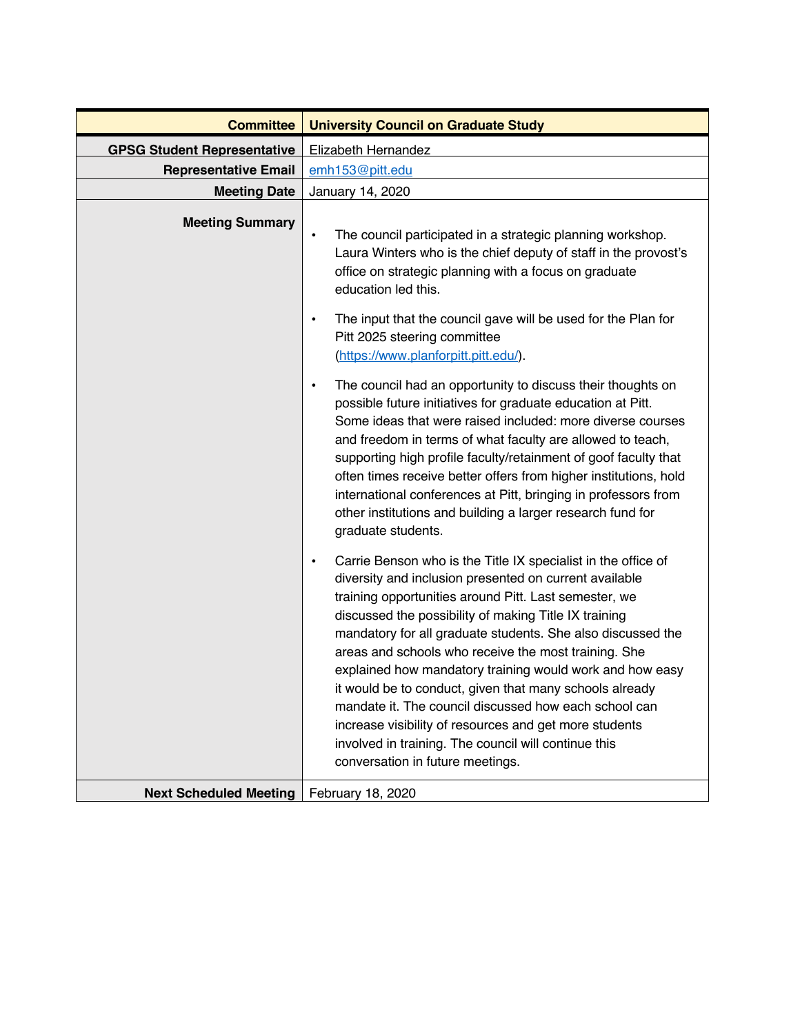| <b>Committee</b>                   | <b>University Council on Graduate Study</b>                                                                                                                                                                                                                                                                                                                                                                                                                                                                                                                                                                                                                                                                                                                                                                                                                                                                                                                                                                                                                                                                                                                                                                                                                                                                                                                                                                                                                  |
|------------------------------------|--------------------------------------------------------------------------------------------------------------------------------------------------------------------------------------------------------------------------------------------------------------------------------------------------------------------------------------------------------------------------------------------------------------------------------------------------------------------------------------------------------------------------------------------------------------------------------------------------------------------------------------------------------------------------------------------------------------------------------------------------------------------------------------------------------------------------------------------------------------------------------------------------------------------------------------------------------------------------------------------------------------------------------------------------------------------------------------------------------------------------------------------------------------------------------------------------------------------------------------------------------------------------------------------------------------------------------------------------------------------------------------------------------------------------------------------------------------|
| <b>GPSG Student Representative</b> | Elizabeth Hernandez                                                                                                                                                                                                                                                                                                                                                                                                                                                                                                                                                                                                                                                                                                                                                                                                                                                                                                                                                                                                                                                                                                                                                                                                                                                                                                                                                                                                                                          |
| <b>Representative Email</b>        | emh153@pitt.edu                                                                                                                                                                                                                                                                                                                                                                                                                                                                                                                                                                                                                                                                                                                                                                                                                                                                                                                                                                                                                                                                                                                                                                                                                                                                                                                                                                                                                                              |
| <b>Meeting Date</b>                | January 14, 2020                                                                                                                                                                                                                                                                                                                                                                                                                                                                                                                                                                                                                                                                                                                                                                                                                                                                                                                                                                                                                                                                                                                                                                                                                                                                                                                                                                                                                                             |
| <b>Meeting Summary</b>             | The council participated in a strategic planning workshop.<br>$\bullet$<br>Laura Winters who is the chief deputy of staff in the provost's<br>office on strategic planning with a focus on graduate<br>education led this.<br>The input that the council gave will be used for the Plan for<br>$\bullet$<br>Pitt 2025 steering committee<br>(https://www.planforpitt.pitt.edu/).<br>The council had an opportunity to discuss their thoughts on<br>$\bullet$<br>possible future initiatives for graduate education at Pitt.<br>Some ideas that were raised included: more diverse courses<br>and freedom in terms of what faculty are allowed to teach,<br>supporting high profile faculty/retainment of goof faculty that<br>often times receive better offers from higher institutions, hold<br>international conferences at Pitt, bringing in professors from<br>other institutions and building a larger research fund for<br>graduate students.<br>Carrie Benson who is the Title IX specialist in the office of<br>$\bullet$<br>diversity and inclusion presented on current available<br>training opportunities around Pitt. Last semester, we<br>discussed the possibility of making Title IX training<br>mandatory for all graduate students. She also discussed the<br>areas and schools who receive the most training. She<br>explained how mandatory training would work and how easy<br>it would be to conduct, given that many schools already |
|                                    | mandate it. The council discussed how each school can<br>increase visibility of resources and get more students                                                                                                                                                                                                                                                                                                                                                                                                                                                                                                                                                                                                                                                                                                                                                                                                                                                                                                                                                                                                                                                                                                                                                                                                                                                                                                                                              |
|                                    | involved in training. The council will continue this<br>conversation in future meetings.                                                                                                                                                                                                                                                                                                                                                                                                                                                                                                                                                                                                                                                                                                                                                                                                                                                                                                                                                                                                                                                                                                                                                                                                                                                                                                                                                                     |
| <b>Next Scheduled Meeting</b>      | February 18, 2020                                                                                                                                                                                                                                                                                                                                                                                                                                                                                                                                                                                                                                                                                                                                                                                                                                                                                                                                                                                                                                                                                                                                                                                                                                                                                                                                                                                                                                            |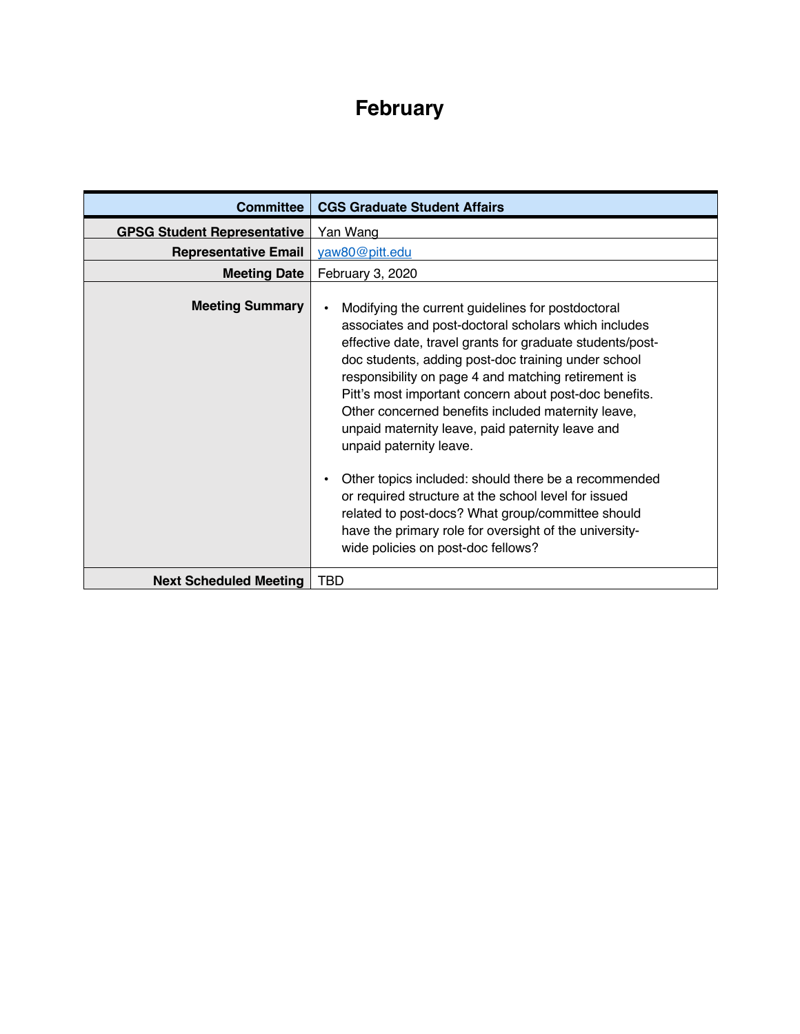## **February**

| <b>Committee</b>                   | <b>CGS Graduate Student Affairs</b>                                                                                                                                                                                                                                                                                                                                                                                                                                                                                                                                                                                                                                                                                                                                                |
|------------------------------------|------------------------------------------------------------------------------------------------------------------------------------------------------------------------------------------------------------------------------------------------------------------------------------------------------------------------------------------------------------------------------------------------------------------------------------------------------------------------------------------------------------------------------------------------------------------------------------------------------------------------------------------------------------------------------------------------------------------------------------------------------------------------------------|
| <b>GPSG Student Representative</b> | Yan Wang                                                                                                                                                                                                                                                                                                                                                                                                                                                                                                                                                                                                                                                                                                                                                                           |
| <b>Representative Email</b>        | yaw80@pitt.edu                                                                                                                                                                                                                                                                                                                                                                                                                                                                                                                                                                                                                                                                                                                                                                     |
| <b>Meeting Date</b>                | February 3, 2020                                                                                                                                                                                                                                                                                                                                                                                                                                                                                                                                                                                                                                                                                                                                                                   |
| <b>Meeting Summary</b>             | Modifying the current guidelines for postdoctoral<br>$\bullet$<br>associates and post-doctoral scholars which includes<br>effective date, travel grants for graduate students/post-<br>doc students, adding post-doc training under school<br>responsibility on page 4 and matching retirement is<br>Pitt's most important concern about post-doc benefits.<br>Other concerned benefits included maternity leave,<br>unpaid maternity leave, paid paternity leave and<br>unpaid paternity leave.<br>Other topics included: should there be a recommended<br>$\bullet$<br>or required structure at the school level for issued<br>related to post-docs? What group/committee should<br>have the primary role for oversight of the university-<br>wide policies on post-doc fellows? |
| <b>Next Scheduled Meeting</b>      | TBD                                                                                                                                                                                                                                                                                                                                                                                                                                                                                                                                                                                                                                                                                                                                                                                |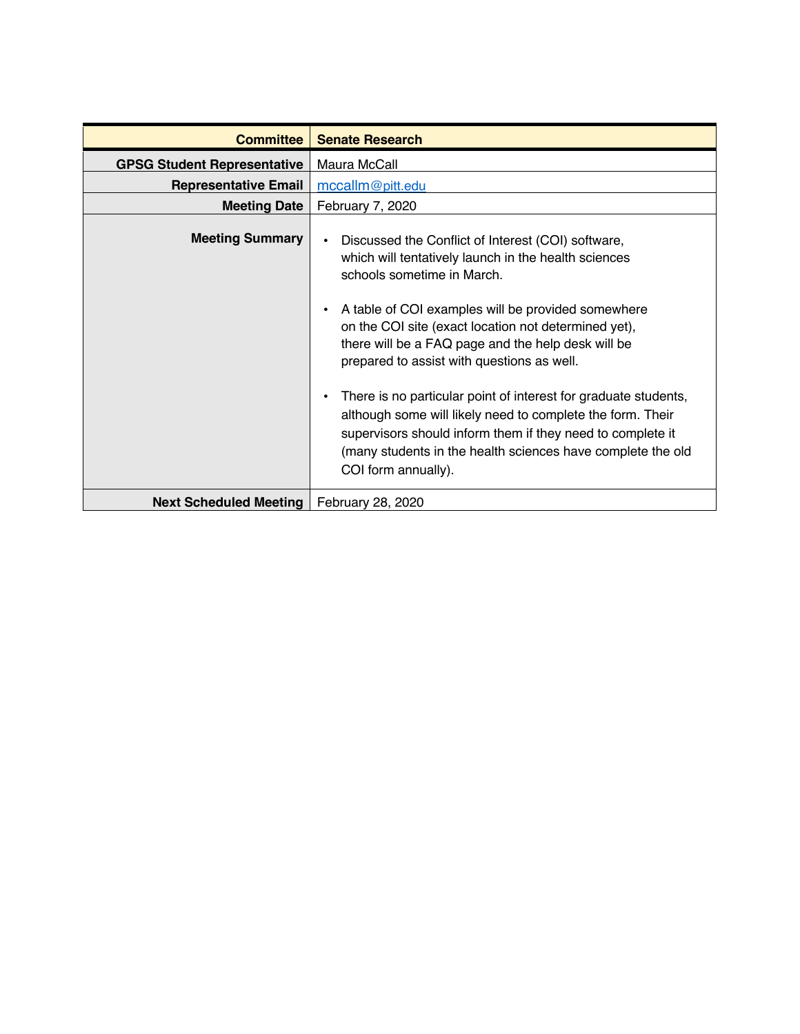| <b>Committee</b>                   | <b>Senate Research</b>                                                                                                                                                                                                                                                                                                                                                                                                                                                                                                                                                                                                                                                                 |
|------------------------------------|----------------------------------------------------------------------------------------------------------------------------------------------------------------------------------------------------------------------------------------------------------------------------------------------------------------------------------------------------------------------------------------------------------------------------------------------------------------------------------------------------------------------------------------------------------------------------------------------------------------------------------------------------------------------------------------|
| <b>GPSG Student Representative</b> | Maura McCall                                                                                                                                                                                                                                                                                                                                                                                                                                                                                                                                                                                                                                                                           |
| <b>Representative Email</b>        | mccallm@pitt.edu                                                                                                                                                                                                                                                                                                                                                                                                                                                                                                                                                                                                                                                                       |
| <b>Meeting Date</b>                | February 7, 2020                                                                                                                                                                                                                                                                                                                                                                                                                                                                                                                                                                                                                                                                       |
| <b>Meeting Summary</b>             | Discussed the Conflict of Interest (COI) software,<br>$\bullet$<br>which will tentatively launch in the health sciences<br>schools sometime in March.<br>A table of COI examples will be provided somewhere<br>$\bullet$<br>on the COI site (exact location not determined yet),<br>there will be a FAQ page and the help desk will be<br>prepared to assist with questions as well.<br>There is no particular point of interest for graduate students,<br>$\bullet$<br>although some will likely need to complete the form. Their<br>supervisors should inform them if they need to complete it<br>(many students in the health sciences have complete the old<br>COI form annually). |
| <b>Next Scheduled Meeting</b>      | February 28, 2020                                                                                                                                                                                                                                                                                                                                                                                                                                                                                                                                                                                                                                                                      |